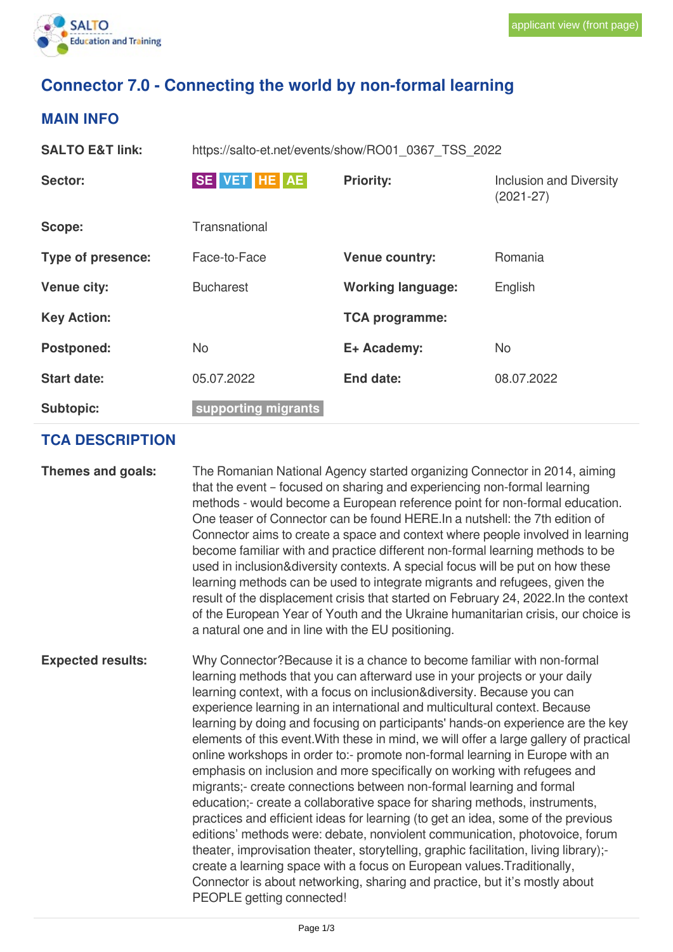# **Connector 7.0 - Connecting the world by non-formal learning**

# **MAIN INFO**

| SE VET HE AE<br><b>Priority:</b><br>Sector:<br><b>Inclusion and Diversity</b><br>$(2021 - 27)$<br>Transnational<br>Scope:<br>Type of presence:<br>Romania<br>Face-to-Face<br><b>Venue country:</b><br><b>Working language:</b><br><b>Venue city:</b><br>English<br><b>Bucharest</b><br><b>Key Action:</b><br><b>TCA programme:</b><br><b>No</b><br><b>Postponed:</b><br>E+ Academy:<br>No<br><b>Start date:</b><br>05.07.2022<br>08.07.2022<br>End date:<br>supporting migrants<br><b>Subtopic:</b> | <b>SALTO E&amp;T link:</b> | https://salto-et.net/events/show/RO01 0367 TSS 2022 |  |  |
|-----------------------------------------------------------------------------------------------------------------------------------------------------------------------------------------------------------------------------------------------------------------------------------------------------------------------------------------------------------------------------------------------------------------------------------------------------------------------------------------------------|----------------------------|-----------------------------------------------------|--|--|
|                                                                                                                                                                                                                                                                                                                                                                                                                                                                                                     |                            |                                                     |  |  |
|                                                                                                                                                                                                                                                                                                                                                                                                                                                                                                     |                            |                                                     |  |  |
|                                                                                                                                                                                                                                                                                                                                                                                                                                                                                                     |                            |                                                     |  |  |
|                                                                                                                                                                                                                                                                                                                                                                                                                                                                                                     |                            |                                                     |  |  |
|                                                                                                                                                                                                                                                                                                                                                                                                                                                                                                     |                            |                                                     |  |  |
|                                                                                                                                                                                                                                                                                                                                                                                                                                                                                                     |                            |                                                     |  |  |
|                                                                                                                                                                                                                                                                                                                                                                                                                                                                                                     |                            |                                                     |  |  |
|                                                                                                                                                                                                                                                                                                                                                                                                                                                                                                     |                            |                                                     |  |  |

## **TCA DESCRIPTION**

**Themes and goals:** The Romanian National Agency started organizing Connector in 2014, aiming that the event – focused on sharing and experiencing non-formal learning methods - would become a European reference point for non-formal education. One teaser of Connector can be found HERE.In a nutshell: the 7th edition of Connector aims to create a space and context where people involved in learning become familiar with and practice different non-formal learning methods to be used in inclusion&diversity contexts. A special focus will be put on how these learning methods can be used to integrate migrants and refugees, given the result of the displacement crisis that started on February 24, 2022.In the context of the European Year of Youth and the Ukraine humanitarian crisis, our choice is a natural one and in line with the EU positioning.

**Expected results:** Why Connector?Because it is a chance to become familiar with non-formal learning methods that you can afterward use in your projects or your daily learning context, with a focus on inclusion&diversity. Because you can experience learning in an international and multicultural context. Because learning by doing and focusing on participants' hands-on experience are the key elements of this event.With these in mind, we will offer a large gallery of practical online workshops in order to:- promote non-formal learning in Europe with an emphasis on inclusion and more specifically on working with refugees and migrants;- create connections between non-formal learning and formal education;- create a collaborative space for sharing methods, instruments, practices and efficient ideas for learning (to get an idea, some of the previous editions' methods were: debate, nonviolent communication, photovoice, forum theater, improvisation theater, storytelling, graphic facilitation, living library); create a learning space with a focus on European values.Traditionally, Connector is about networking, sharing and practice, but it's mostly about PEOPLE getting connected!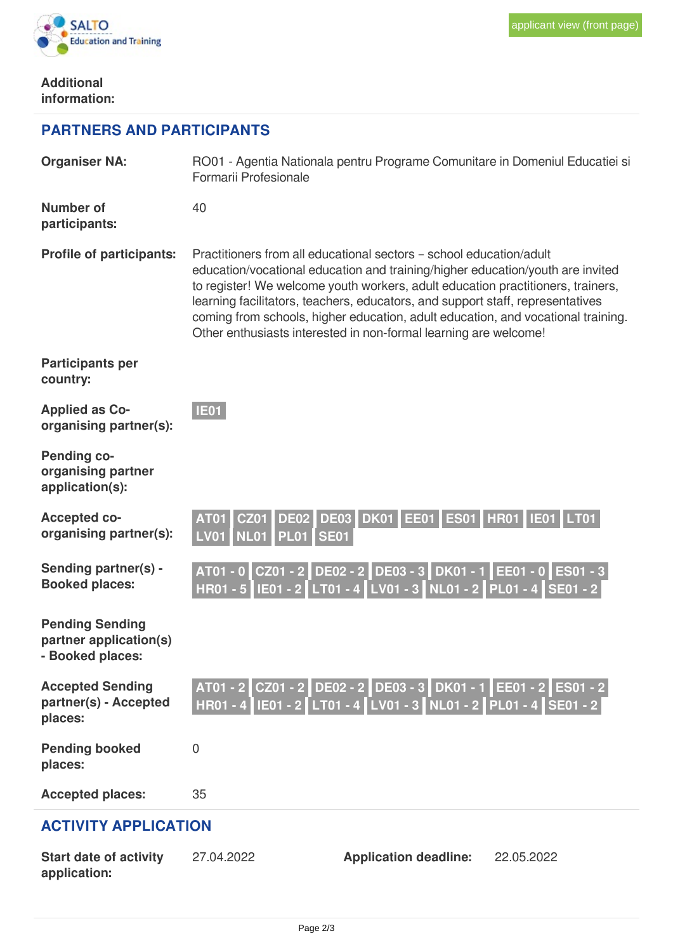

### **Additional information:**

**application:**

# **PARTNERS AND PARTICIPANTS**

| <b>Organiser NA:</b>                                                 | RO01 - Agentia Nationala pentru Programe Comunitare in Domeniul Educatiei si<br>Formarii Profesionale |                                                                                                                                                                                                                                                                                                                                                                                                                                                                                    |            |
|----------------------------------------------------------------------|-------------------------------------------------------------------------------------------------------|------------------------------------------------------------------------------------------------------------------------------------------------------------------------------------------------------------------------------------------------------------------------------------------------------------------------------------------------------------------------------------------------------------------------------------------------------------------------------------|------------|
| <b>Number of</b><br>participants:                                    | 40                                                                                                    |                                                                                                                                                                                                                                                                                                                                                                                                                                                                                    |            |
| <b>Profile of participants:</b>                                      |                                                                                                       | Practitioners from all educational sectors - school education/adult<br>education/vocational education and training/higher education/youth are invited<br>to register! We welcome youth workers, adult education practitioners, trainers,<br>learning facilitators, teachers, educators, and support staff, representatives<br>coming from schools, higher education, adult education, and vocational training.<br>Other enthusiasts interested in non-formal learning are welcome! |            |
| <b>Participants per</b><br>country:                                  |                                                                                                       |                                                                                                                                                                                                                                                                                                                                                                                                                                                                                    |            |
| <b>Applied as Co-</b><br>organising partner(s):                      | <b>IE01</b>                                                                                           |                                                                                                                                                                                                                                                                                                                                                                                                                                                                                    |            |
| <b>Pending co-</b><br>organising partner<br>application(s):          |                                                                                                       |                                                                                                                                                                                                                                                                                                                                                                                                                                                                                    |            |
| <b>Accepted co-</b><br>organising partner(s):                        | <b>DE02</b><br><b>AT01</b><br><b>CZ01</b><br><b>NL01</b><br><b>PL01 SE01</b><br><b>LV01</b>           | DE03 DK01 EE01 ES01 HR01 IE01 LT01                                                                                                                                                                                                                                                                                                                                                                                                                                                 |            |
| Sending partner(s) -<br><b>Booked places:</b>                        |                                                                                                       | AT01 - 0 CZ01 - 2 DE02 - 2 DE03 - 3 DK01 - 1 EE01 - 0 ES01 - 3<br>HR01 - 5   IE01 - 2   LT01 - 4   LV01 - 3   NL01 - 2   PL01 - 4   SE01 - 2                                                                                                                                                                                                                                                                                                                                       |            |
| <b>Pending Sending</b><br>partner application(s)<br>- Booked places: |                                                                                                       |                                                                                                                                                                                                                                                                                                                                                                                                                                                                                    |            |
| <b>Accepted Sending</b><br>partner(s) - Accepted<br>places:          |                                                                                                       | AT01 - 2 CZ01 - 2 DE02 - 2 DE03 - 3 DK01 - 1 EE01 - 2 ES01 - 2<br>HR01 - 4   IE01 - 2   LT01 - 4   LV01 - 3   NL01 - 2   PL01 - 4   SE01 - 2                                                                                                                                                                                                                                                                                                                                       |            |
| <b>Pending booked</b><br>places:                                     | $\overline{0}$                                                                                        |                                                                                                                                                                                                                                                                                                                                                                                                                                                                                    |            |
| <b>Accepted places:</b>                                              | 35                                                                                                    |                                                                                                                                                                                                                                                                                                                                                                                                                                                                                    |            |
| <b>ACTIVITY APPLICATION</b>                                          |                                                                                                       |                                                                                                                                                                                                                                                                                                                                                                                                                                                                                    |            |
| <b>Start date of activity</b>                                        | 27.04.2022                                                                                            | <b>Application deadline:</b>                                                                                                                                                                                                                                                                                                                                                                                                                                                       | 22.05.2022 |